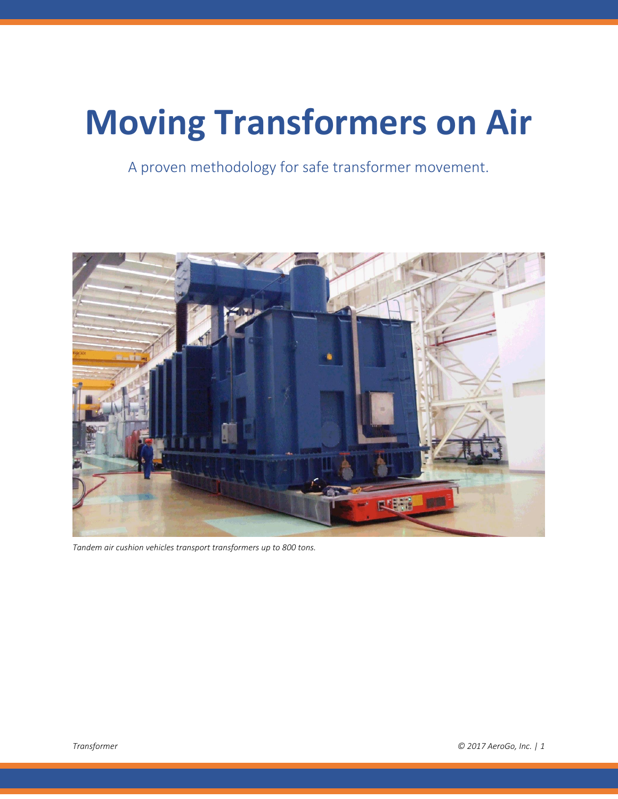# **Moving Transformers on Air**

A proven methodology for safe transformer movement.



*Tandem air cushion vehicles transport transformers up to 800 tons.*

*Transformer © 2017 AeroGo, Inc. | 1*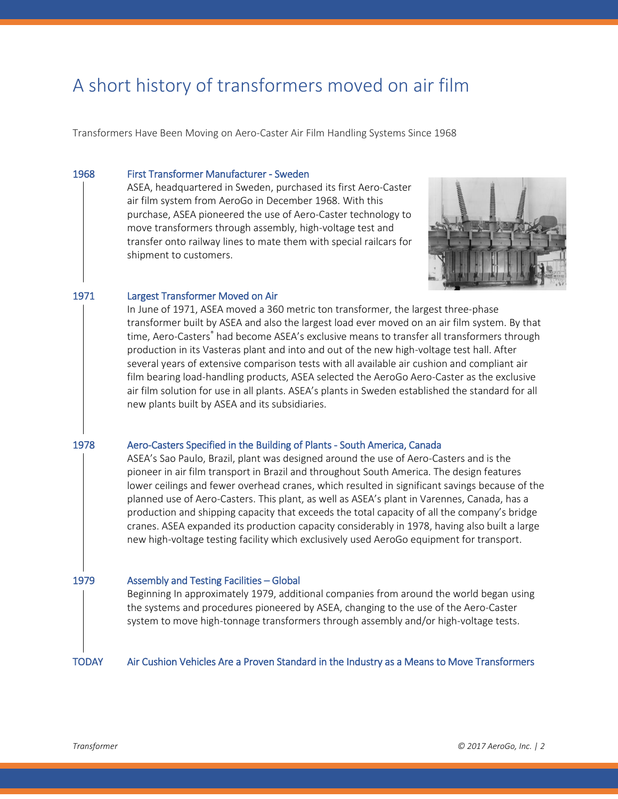# A short history of transformers moved on air film

Transformers Have Been Moving on Aero-Caster Air Film Handling Systems Since 1968

#### 1968 First Transformer Manufacturer - Sweden

ASEA, headquartered in Sweden, purchased its first Aero-Caster air film system from AeroGo in December 1968. With this purchase, ASEA pioneered the use of Aero-Caster technology to move transformers through assembly, high-voltage test and transfer onto railway lines to mate them with special railcars for shipment to customers.



#### 1971 Largest Transformer Moved on Air

In June of 1971, ASEA moved a 360 metric ton transformer, the largest three-phase transformer built by ASEA and also the largest load ever moved on an air film system. By that time, Aero-Casters® had become ASEA's exclusive means to transfer all transformers through production in its Vasteras plant and into and out of the new high-voltage test hall. After several years of extensive comparison tests with all available air cushion and compliant air film bearing load-handling products, ASEA selected the AeroGo Aero-Caster as the exclusive air film solution for use in all plants. ASEA's plants in Sweden established the standard for all new plants built by ASEA and its subsidiaries.

#### 1978 Aero-Casters Specified in the Building of Plants - South America, Canada

ASEA's Sao Paulo, Brazil, plant was designed around the use of Aero-Casters and is the pioneer in air film transport in Brazil and throughout South America. The design features lower ceilings and fewer overhead cranes, which resulted in significant savings because of the planned use of Aero-Casters. This plant, as well as ASEA's plant in Varennes, Canada, has a production and shipping capacity that exceeds the total capacity of all the company's bridge cranes. ASEA expanded its production capacity considerably in 1978, having also built a large new high-voltage testing facility which exclusively used AeroGo equipment for transport.

#### 1979 Assembly and Testing Facilities – Global

Beginning In approximately 1979, additional companies from around the world began using the systems and procedures pioneered by ASEA, changing to the use of the Aero-Caster system to move high-tonnage transformers through assembly and/or high-voltage tests.

TODAY Air Cushion Vehicles Are a Proven Standard in the Industry as a Means to Move Transformers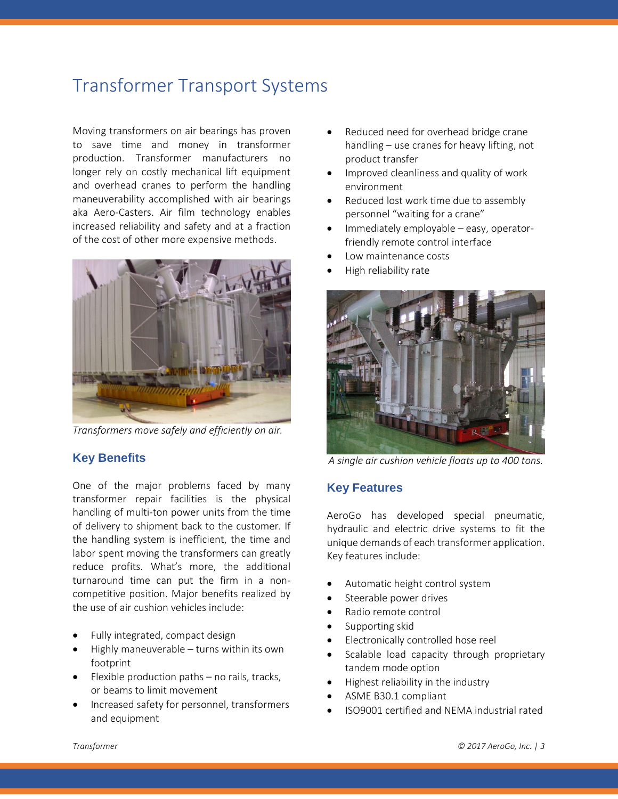# Transformer Transport Systems

Moving transformers on air bearings has proven to save time and money in transformer production. Transformer manufacturers no longer rely on costly mechanical lift equipment and overhead cranes to perform the handling maneuverability accomplished with air bearings aka Aero-Casters. Air film technology enables increased reliability and safety and at a fraction of the cost of other more expensive methods.



*Transformers move safely and efficiently on air.*

### **Key Benefits**

One of the major problems faced by many transformer repair facilities is the physical handling of multi-ton power units from the time of delivery to shipment back to the customer. If the handling system is inefficient, the time and labor spent moving the transformers can greatly reduce profits. What's more, the additional turnaround time can put the firm in a noncompetitive position. Major benefits realized by the use of air cushion vehicles include:

- Fully integrated, compact design
- Highly maneuverable turns within its own footprint
- Flexible production paths no rails, tracks, or beams to limit movement
- Increased safety for personnel, transformers and equipment
- Reduced need for overhead bridge crane handling – use cranes for heavy lifting, not product transfer
- Improved cleanliness and quality of work environment
- Reduced lost work time due to assembly personnel "waiting for a crane"
- Immediately employable easy, operatorfriendly remote control interface
- Low maintenance costs
- High reliability rate



*A single air cushion vehicle floats up to 400 tons.*

#### **Key Features**

AeroGo has developed special pneumatic, hydraulic and electric drive systems to fit the unique demands of each transformer application. Key features include:

- Automatic height control system
- Steerable power drives
- Radio remote control
- Supporting skid
- Electronically controlled hose reel
- Scalable load capacity through proprietary tandem mode option
- Highest reliability in the industry
- ASME B30.1 compliant
- ISO9001 certified and NEMA industrial rated